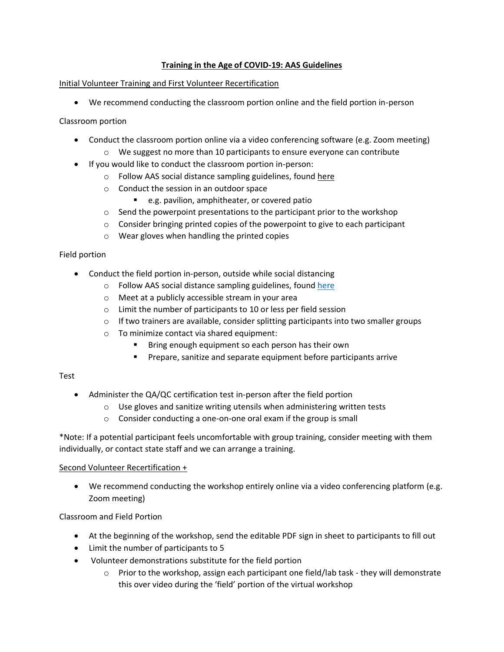### **Training in the Age of COVID-19: AAS Guidelines**

#### Initial Volunteer Training and First Volunteer Recertification

• We recommend conducting the classroom portion online and the field portion in-person

#### Classroom portion

- Conduct the classroom portion online via a video conferencing software (e.g. Zoom meeting)
	- $\circ$  We suggest no more than 10 participants to ensure everyone can contribute
- If you would like to conduct the classroom portion in-person:
	- o Follow AAS social distance sampling guidelines, found [here](https://adoptastream.georgia.gov/data-forms-old/covid-19-sampling-guidelines)
	- o Conduct the session in an outdoor space
		- e.g. pavilion, amphitheater, or covered patio
	- o Send the powerpoint presentations to the participant prior to the workshop
	- o Consider bringing printed copies of the powerpoint to give to each participant
	- o Wear gloves when handling the printed copies

### Field portion

- Conduct the field portion in-person, outside while social distancing
	- o Follow AAS social distance sampling guidelines, found [here](https://adoptastream.georgia.gov/data-forms-0/covid-19-sampling-guidelines)
	- o Meet at a publicly accessible stream in your area
	- o Limit the number of participants to 10 or less per field session
	- $\circ$  If two trainers are available, consider splitting participants into two smaller groups
	- o To minimize contact via shared equipment:
		- Bring enough equipment so each person has their own
		- **EXP** Prepare, sanitize and separate equipment before participants arrive

#### Test

- Administer the QA/QC certification test in-person after the field portion
	- o Use gloves and sanitize writing utensils when administering written tests
	- o Consider conducting a one-on-one oral exam if the group is small

\*Note: If a potential participant feels uncomfortable with group training, consider meeting with them individually, or contact state staff and we can arrange a training.

#### Second Volunteer Recertification +

• We recommend conducting the workshop entirely online via a video conferencing platform (e.g. Zoom meeting)

#### Classroom and Field Portion

- At the beginning of the workshop, send the editable PDF sign in sheet to participants to fill out
- Limit the number of participants to 5
- Volunteer demonstrations substitute for the field portion
	- $\circ$  Prior to the workshop, assign each participant one field/lab task they will demonstrate this over video during the 'field' portion of the virtual workshop